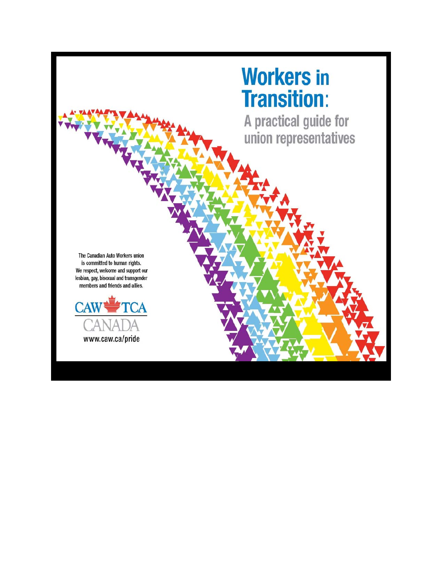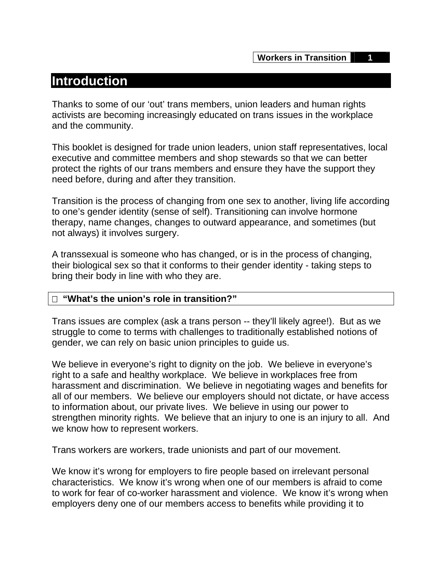## **Introduction**

Thanks to some of our 'out' trans members, union leaders and human rights activists are becoming increasingly educated on trans issues in the workplace and the community.

This booklet is designed for trade union leaders, union staff representatives, local executive and committee members and shop stewards so that we can better protect the rights of our trans members and ensure they have the support they need before, during and after they transition.

Transition is the process of changing from one sex to another, living life according to one's gender identity (sense of self). Transitioning can involve hormone therapy, name changes, changes to outward appearance, and sometimes (but not always) it involves surgery.

A transsexual is someone who has changed, or is in the process of changing, their biological sex so that it conforms to their gender identity - taking steps to bring their body in line with who they are.

## **"What's the union's role in transition?"**

Trans issues are complex (ask a trans person -- they'll likely agree!). But as we struggle to come to terms with challenges to traditionally established notions of gender, we can rely on basic union principles to guide us.

We believe in everyone's right to dignity on the job. We believe in everyone's right to a safe and healthy workplace. We believe in workplaces free from harassment and discrimination. We believe in negotiating wages and benefits for all of our members. We believe our employers should not dictate, or have access to information about, our private lives. We believe in using our power to strengthen minority rights. We believe that an injury to one is an injury to all. And we know how to represent workers.

Trans workers are workers, trade unionists and part of our movement.

We know it's wrong for employers to fire people based on irrelevant personal characteristics. We know it's wrong when one of our members is afraid to come to work for fear of co-worker harassment and violence. We know it's wrong when employers deny one of our members access to benefits while providing it to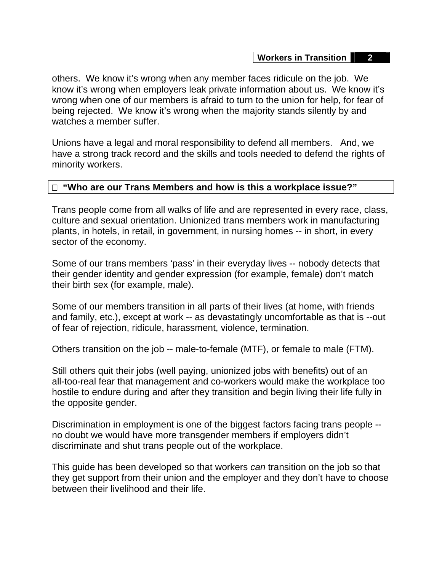others. We know it's wrong when any member faces ridicule on the job. We know it's wrong when employers leak private information about us. We know it's wrong when one of our members is afraid to turn to the union for help, for fear of being rejected. We know it's wrong when the majority stands silently by and watches a member suffer.

Unions have a legal and moral responsibility to defend all members. And, we have a strong track record and the skills and tools needed to defend the rights of minority workers.

## **"Who are our Trans Members and how is this a workplace issue?"**

Trans people come from all walks of life and are represented in every race, class, culture and sexual orientation. Unionized trans members work in manufacturing plants, in hotels, in retail, in government, in nursing homes -- in short, in every sector of the economy.

Some of our trans members 'pass' in their everyday lives -- nobody detects that their gender identity and gender expression (for example, female) don't match their birth sex (for example, male).

Some of our members transition in all parts of their lives (at home, with friends and family, etc.), except at work -- as devastatingly uncomfortable as that is --out of fear of rejection, ridicule, harassment, violence, termination.

Others transition on the job -- male-to-female (MTF), or female to male (FTM).

Still others quit their jobs (well paying, unionized jobs with benefits) out of an all-too-real fear that management and co-workers would make the workplace too hostile to endure during and after they transition and begin living their life fully in the opposite gender.

Discrimination in employment is one of the biggest factors facing trans people - no doubt we would have more transgender members if employers didn't discriminate and shut trans people out of the workplace.

This guide has been developed so that workers *can* transition on the job so that they get support from their union and the employer and they don't have to choose between their livelihood and their life.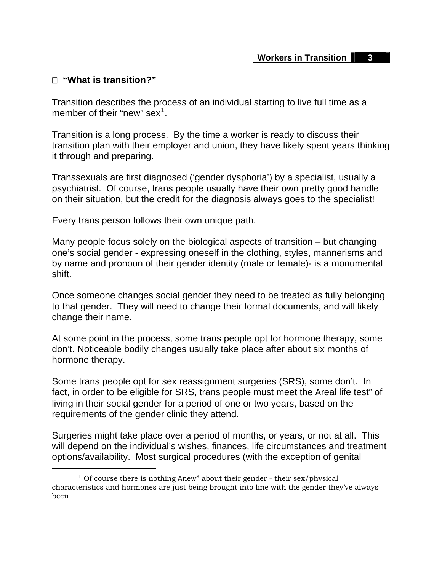#### **"What is transition?"**

Transition describes the process of an individual starting to live full time as a member of their "new" sex $^1$  $^1$ .

Transition is a long process. By the time a worker is ready to discuss their transition plan with their employer and union, they have likely spent years thinking it through and preparing.

Transsexuals are first diagnosed ('gender dysphoria') by a specialist, usually a psychiatrist. Of course, trans people usually have their own pretty good handle on their situation, but the credit for the diagnosis always goes to the specialist!

Every trans person follows their own unique path.

Many people focus solely on the biological aspects of transition – but changing one's social gender - expressing oneself in the clothing, styles, mannerisms and by name and pronoun of their gender identity (male or female)- is a monumental shift.

Once someone changes social gender they need to be treated as fully belonging to that gender. They will need to change their formal documents, and will likely change their name.

At some point in the process, some trans people opt for hormone therapy, some don't. Noticeable bodily changes usually take place after about six months of hormone therapy.

Some trans people opt for sex reassignment surgeries (SRS), some don't. In fact, in order to be eligible for SRS, trans people must meet the Areal life test" of living in their social gender for a period of one or two years, based on the requirements of the gender clinic they attend.

Surgeries might take place over a period of months, or years, or not at all. This will depend on the individual's wishes, finances, life circumstances and treatment options/availability. Most surgical procedures (with the exception of genital

<span id="page-3-0"></span><sup>&</sup>lt;sup>1</sup> Of course there is nothing Anew" about their gender - their sex/physical characteristics and hormones are just being brought into line with the gender they've always been.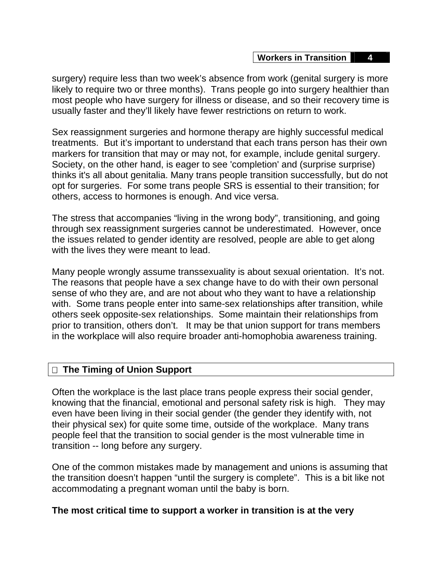surgery) require less than two week's absence from work (genital surgery is more likely to require two or three months). Trans people go into surgery healthier than most people who have surgery for illness or disease, and so their recovery time is usually faster and they'll likely have fewer restrictions on return to work.

Sex reassignment surgeries and hormone therapy are highly successful medical treatments. But it's important to understand that each trans person has their own markers for transition that may or may not, for example, include genital surgery. Society, on the other hand, is eager to see 'completion' and (surprise surprise) thinks it's all about genitalia. Many trans people transition successfully, but do not opt for surgeries. For some trans people SRS is essential to their transition; for others, access to hormones is enough. And vice versa.

The stress that accompanies "living in the wrong body", transitioning, and going through sex reassignment surgeries cannot be underestimated. However, once the issues related to gender identity are resolved, people are able to get along with the lives they were meant to lead.

Many people wrongly assume transsexuality is about sexual orientation. It's not. The reasons that people have a sex change have to do with their own personal sense of who they are, and are not about who they want to have a relationship with. Some trans people enter into same-sex relationships after transition, while others seek opposite-sex relationships. Some maintain their relationships from prior to transition, others don't. It may be that union support for trans members in the workplace will also require broader anti-homophobia awareness training.

## **The Timing of Union Support**

Often the workplace is the last place trans people express their social gender, knowing that the financial, emotional and personal safety risk is high. They may even have been living in their social gender (the gender they identify with, not their physical sex) for quite some time, outside of the workplace. Many trans people feel that the transition to social gender is the most vulnerable time in transition -- long before any surgery.

One of the common mistakes made by management and unions is assuming that the transition doesn't happen "until the surgery is complete". This is a bit like not accommodating a pregnant woman until the baby is born.

## **The most critical time to support a worker in transition is at the very**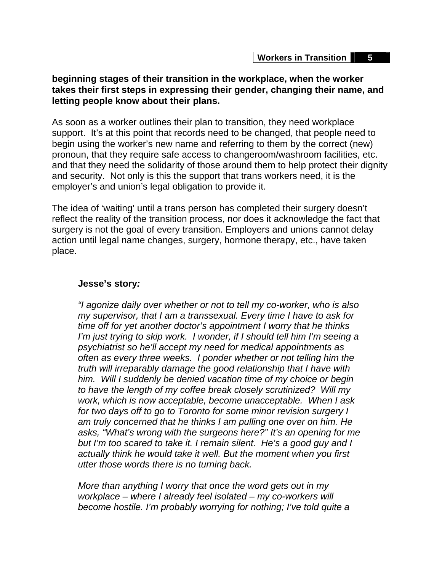## **beginning stages of their transition in the workplace, when the worker takes their first steps in expressing their gender, changing their name, and letting people know about their plans.**

As soon as a worker outlines their plan to transition, they need workplace support. It's at this point that records need to be changed, that people need to begin using the worker's new name and referring to them by the correct (new) pronoun, that they require safe access to changeroom/washroom facilities, etc. and that they need the solidarity of those around them to help protect their dignity and security. Not only is this the support that trans workers need, it is the employer's and union's legal obligation to provide it.

The idea of 'waiting' until a trans person has completed their surgery doesn't reflect the reality of the transition process, nor does it acknowledge the fact that surgery is not the goal of every transition. Employers and unions cannot delay action until legal name changes, surgery, hormone therapy, etc., have taken place.

#### **Jesse's story***:*

*"I agonize daily over whether or not to tell my co-worker, who is also my supervisor, that I am a transsexual. Every time I have to ask for time off for yet another doctor's appointment I worry that he thinks I'm just trying to skip work. I wonder, if I should tell him I'm seeing a psychiatrist so he'll accept my need for medical appointments as often as every three weeks. I ponder whether or not telling him the truth will irreparably damage the good relationship that I have with him. Will I suddenly be denied vacation time of my choice or begin to have the length of my coffee break closely scrutinized? Will my work, which is now acceptable, become unacceptable. When I ask for two days off to go to Toronto for some minor revision surgery I am truly concerned that he thinks I am pulling one over on him. He asks, "What's wrong with the surgeons here?" It's an opening for me but I'm too scared to take it. I remain silent. He's a good guy and I actually think he would take it well. But the moment when you first utter those words there is no turning back.* 

*More than anything I worry that once the word gets out in my workplace – where I already feel isolated – my co-workers will become hostile. I'm probably worrying for nothing; I've told quite a*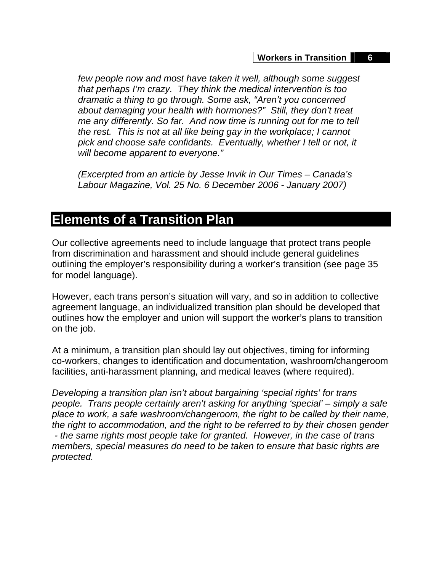*few people now and most have taken it well, although some suggest that perhaps I'm crazy. They think the medical intervention is too dramatic a thing to go through. Some ask, "Aren't you concerned about damaging your health with hormones?" Still, they don't treat me any differently. So far. And now time is running out for me to tell the rest. This is not at all like being gay in the workplace; I cannot pick and choose safe confidants. Eventually, whether I tell or not, it will become apparent to everyone."* 

*(Excerpted from an article by Jesse Invik in Our Times – Canada's Labour Magazine, Vol. 25 No. 6 December 2006 - January 2007)* 

# **Elements of a Transition Plan**

Our collective agreements need to include language that protect trans people from discrimination and harassment and should include general guidelines outlining the employer's responsibility during a worker's transition (see page 35 for model language).

However, each trans person's situation will vary, and so in addition to collective agreement language, an individualized transition plan should be developed that outlines how the employer and union will support the worker's plans to transition on the job.

At a minimum, a transition plan should lay out objectives, timing for informing co-workers, changes to identification and documentation, washroom/changeroom facilities, anti-harassment planning, and medical leaves (where required).

*Developing a transition plan isn't about bargaining 'special rights' for trans people. Trans people certainly aren't asking for anything 'special' – simply a safe place to work, a safe washroom/changeroom, the right to be called by their name, the right to accommodation, and the right to be referred to by their chosen gender - the same rights most people take for granted. However, in the case of trans members, special measures do need to be taken to ensure that basic rights are protected.*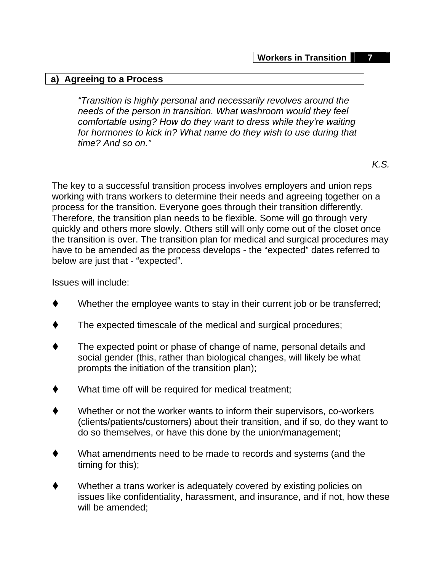#### **a) Agreeing to a Process**

*"Transition is highly personal and necessarily revolves around the needs of the person in transition. What washroom would they feel comfortable using? How do they want to dress while they're waiting for hormones to kick in? What name do they wish to use during that time? And so on."* 

*K.S.* 

The key to a successful transition process involves employers and union reps working with trans workers to determine their needs and agreeing together on a process for the transition. Everyone goes through their transition differently. Therefore, the transition plan needs to be flexible. Some will go through very quickly and others more slowly. Others still will only come out of the closet once the transition is over. The transition plan for medical and surgical procedures may have to be amended as the process develops - the "expected" dates referred to below are just that - "expected".

Issues will include:

- Whether the employee wants to stay in their current job or be transferred;
- The expected timescale of the medical and surgical procedures;
- The expected point or phase of change of name, personal details and social gender (this, rather than biological changes, will likely be what prompts the initiation of the transition plan);
- What time off will be required for medical treatment;
- Whether or not the worker wants to inform their supervisors, co-workers (clients/patients/customers) about their transition, and if so, do they want to do so themselves, or have this done by the union/management;
- What amendments need to be made to records and systems (and the timing for this);
- Whether a trans worker is adequately covered by existing policies on issues like confidentiality, harassment, and insurance, and if not, how these will be amended;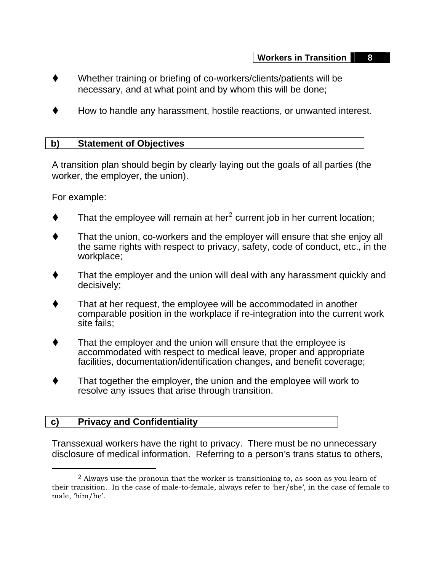- Whether training or briefing of co-workers/clients/patients will be necessary, and at what point and by whom this will be done;
- How to handle any harassment, hostile reactions, or unwanted interest.

#### **b) Statement of Objectives**

A transition plan should begin by clearly laying out the goals of all parties (the worker, the employer, the union).

For example:

- $\blacklozenge$  That the employee will remain at her<sup>[2](#page-8-0)</sup> current job in her current location;
- That the union, co-workers and the employer will ensure that she enjoy all the same rights with respect to privacy, safety, code of conduct, etc., in the workplace;
- That the employer and the union will deal with any harassment quickly and decisively;
- That at her request, the employee will be accommodated in another comparable position in the workplace if re-integration into the current work site fails;
- That the employer and the union will ensure that the employee is accommodated with respect to medical leave, proper and appropriate facilities, documentation/identification changes, and benefit coverage;
- That together the employer, the union and the employee will work to resolve any issues that arise through transition.

## **c) Privacy and Confidentiality**

Transsexual workers have the right to privacy. There must be no unnecessary disclosure of medical information. Referring to a person's trans status to others,

<span id="page-8-0"></span> $<sup>2</sup>$  Always use the pronoun that the worker is transitioning to, as soon as you learn of</sup> their transition. In the case of male-to-female, always refer to 'her/she', in the case of female to male, 'him/he'.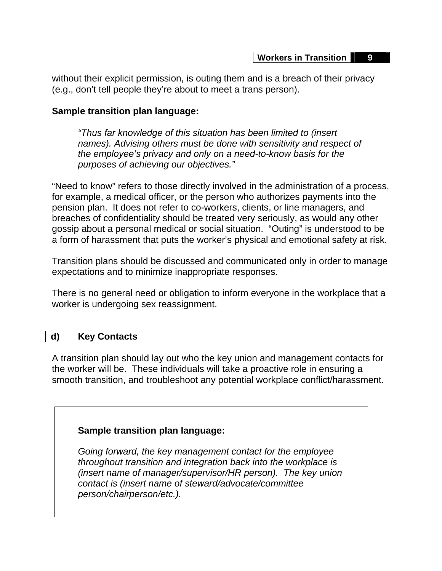without their explicit permission, is outing them and is a breach of their privacy (e.g., don't tell people they're about to meet a trans person).

## **Sample transition plan language:**

*"Thus far knowledge of this situation has been limited to (insert names). Advising others must be done with sensitivity and respect of the employee's privacy and only on a need-to-know basis for the purposes of achieving our objectives."*

"Need to know" refers to those directly involved in the administration of a process, for example, a medical officer, or the person who authorizes payments into the pension plan. It does not refer to co-workers, clients, or line managers, and breaches of confidentiality should be treated very seriously, as would any other gossip about a personal medical or social situation. "Outing" is understood to be a form of harassment that puts the worker's physical and emotional safety at risk.

Transition plans should be discussed and communicated only in order to manage expectations and to minimize inappropriate responses.

There is no general need or obligation to inform everyone in the workplace that a worker is undergoing sex reassignment.

## **d) Key Contacts**

A transition plan should lay out who the key union and management contacts for the worker will be. These individuals will take a proactive role in ensuring a smooth transition, and troubleshoot any potential workplace conflict/harassment.

## **Sample transition plan language:**

*Going forward, the key management contact for the employee throughout transition and integration back into the workplace is (insert name of manager/supervisor/HR person). The key union contact is (insert name of steward/advocate/committee person/chairperson/etc.).*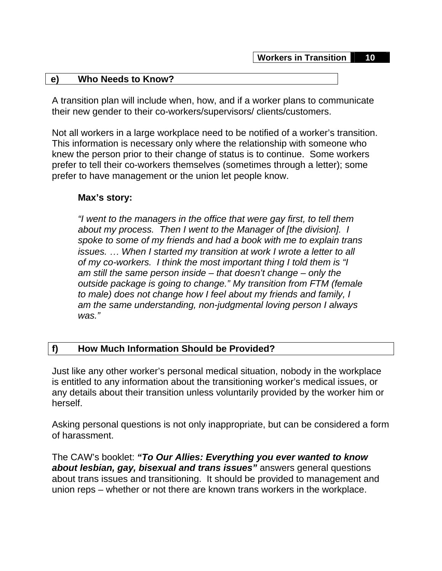#### **e) Who Needs to Know?**

A transition plan will include when, how, and if a worker plans to communicate their new gender to their co-workers/supervisors/ clients/customers.

Not all workers in a large workplace need to be notified of a worker's transition. This information is necessary only where the relationship with someone who knew the person prior to their change of status is to continue. Some workers prefer to tell their co-workers themselves (sometimes through a letter); some prefer to have management or the union let people know.

#### **Max's story:**

*"I went to the managers in the office that were gay first, to tell them about my process. Then I went to the Manager of [the division]. I spoke to some of my friends and had a book with me to explain trans issues.* … *When I started my transition at work I wrote a letter to all of my co-workers. I think the most important thing I told them is "I am still the same person inside – that doesn't change – only the outside package is going to change." My transition from FTM (female to male) does not change how I feel about my friends and family, I am the same understanding, non-judgmental loving person I always was."* 

## **f) How Much Information Should be Provided?**

Just like any other worker's personal medical situation, nobody in the workplace is entitled to any information about the transitioning worker's medical issues, or any details about their transition unless voluntarily provided by the worker him or herself.

Asking personal questions is not only inappropriate, but can be considered a form of harassment.

The CAW's booklet: *"To Our Allies: Everything you ever wanted to know about lesbian, gay, bisexual and trans issues"* answers general questions about trans issues and transitioning. It should be provided to management and union reps – whether or not there are known trans workers in the workplace.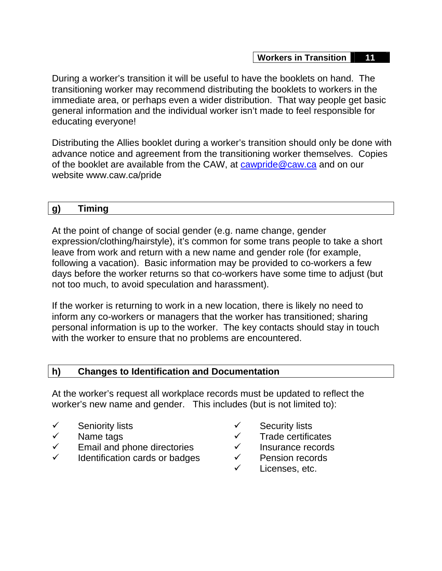During a worker's transition it will be useful to have the booklets on hand. The transitioning worker may recommend distributing the booklets to workers in the immediate area, or perhaps even a wider distribution. That way people get basic general information and the individual worker isn't made to feel responsible for educating everyone!

Distributing the Allies booklet during a worker's transition should only be done with advance notice and agreement from the transitioning worker themselves. Copies of the booklet are available from the CAW, at [cawpride@caw.ca](mailto:cawpride@caw.ca) and on our website www.caw.ca/pride

## **g) Timing**

At the point of change of social gender (e.g. name change, gender expression/clothing/hairstyle), it's common for some trans people to take a short leave from work and return with a new name and gender role (for example, following a vacation). Basic information may be provided to co-workers a few days before the worker returns so that co-workers have some time to adjust (but not too much, to avoid speculation and harassment).

If the worker is returning to work in a new location, there is likely no need to inform any co-workers or managers that the worker has transitioned; sharing personal information is up to the worker. The key contacts should stay in touch with the worker to ensure that no problems are encountered.

## **h) Changes to Identification and Documentation**

At the worker's request all workplace records must be updated to reflect the worker's new name and gender. This includes (but is not limited to):

- $\checkmark$  Seniority lists
- $\checkmark$  Name tags
- $\checkmark$  Email and phone directories
- $\checkmark$  Identification cards or badges
- $\checkmark$  Security lists
- $\checkmark$  Trade certificates
- $\checkmark$  Insurance records
- $\checkmark$  Pension records
- Licenses, etc.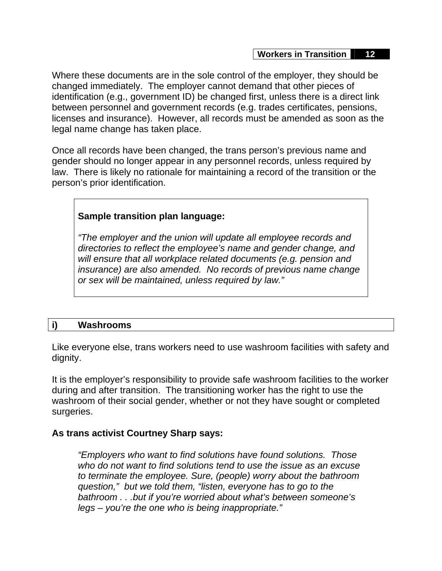Where these documents are in the sole control of the employer, they should be changed immediately. The employer cannot demand that other pieces of identification (e.g., government ID) be changed first, unless there is a direct link between personnel and government records (e.g. trades certificates, pensions, licenses and insurance). However, all records must be amended as soon as the legal name change has taken place.

Once all records have been changed, the trans person's previous name and gender should no longer appear in any personnel records, unless required by law. There is likely no rationale for maintaining a record of the transition or the person's prior identification.

## **Sample transition plan language:**

*"The employer and the union will update all employee records and directories to reflect the employee's name and gender change, and will ensure that all workplace related documents (e.g. pension and insurance) are also amended. No records of previous name change or sex will be maintained, unless required by law."* 

## **i) Washrooms**

Like everyone else, trans workers need to use washroom facilities with safety and dignity.

It is the employer's responsibility to provide safe washroom facilities to the worker during and after transition. The transitioning worker has the right to use the washroom of their social gender, whether or not they have sought or completed surgeries.

## **As trans activist Courtney Sharp says:**

*"Employers who want to find solutions have found solutions. Those who do not want to find solutions tend to use the issue as an excuse to terminate the employee. Sure, (people) worry about the bathroom question," but we told them, "listen, everyone has to go to the bathroom . . .but if you're worried about what's between someone's legs – you're the one who is being inappropriate."*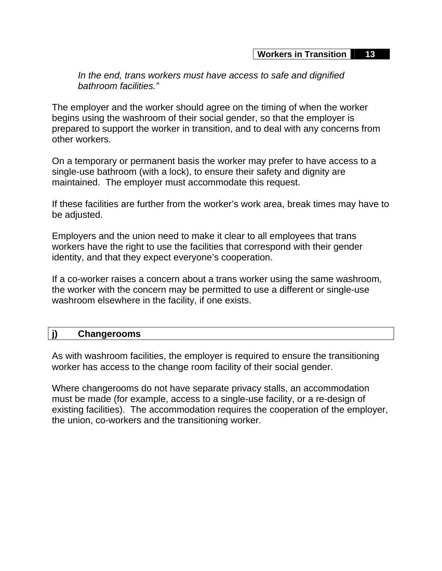*In the end, trans workers must have access to safe and dignified bathroom facilities."* 

The employer and the worker should agree on the timing of when the worker begins using the washroom of their social gender, so that the employer is prepared to support the worker in transition, and to deal with any concerns from other workers.

On a temporary or permanent basis the worker may prefer to have access to a single-use bathroom (with a lock), to ensure their safety and dignity are maintained. The employer must accommodate this request.

If these facilities are further from the worker's work area, break times may have to be adjusted.

Employers and the union need to make it clear to all employees that trans workers have the right to use the facilities that correspond with their gender identity, and that they expect everyone's cooperation.

If a co-worker raises a concern about a trans worker using the same washroom, the worker with the concern may be permitted to use a different or single-use washroom elsewhere in the facility, if one exists.

#### **j) Changerooms**

As with washroom facilities, the employer is required to ensure the transitioning worker has access to the change room facility of their social gender.

Where changerooms do not have separate privacy stalls, an accommodation must be made (for example, access to a single-use facility, or a re-design of existing facilities). The accommodation requires the cooperation of the employer, the union, co-workers and the transitioning worker.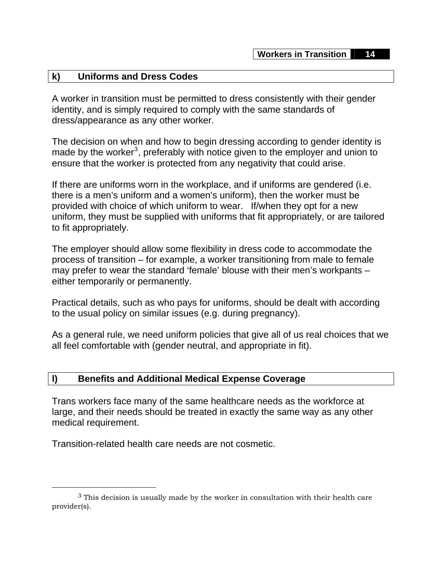#### **k) Uniforms and Dress Codes**

A worker in transition must be permitted to dress consistently with their gender identity, and is simply required to comply with the same standards of dress/appearance as any other worker.

The decision on when and how to begin dressing according to gender identity is made by the worker<sup>[3](#page-14-0)</sup>, preferably with notice given to the employer and union to ensure that the worker is protected from any negativity that could arise.

If there are uniforms worn in the workplace, and if uniforms are gendered (i.e. there is a men's uniform and a women's uniform), then the worker must be provided with choice of which uniform to wear. If/when they opt for a new uniform, they must be supplied with uniforms that fit appropriately, or are tailored to fit appropriately.

The employer should allow some flexibility in dress code to accommodate the process of transition – for example, a worker transitioning from male to female may prefer to wear the standard 'female' blouse with their men's workpants – either temporarily or permanently.

Practical details, such as who pays for uniforms, should be dealt with according to the usual policy on similar issues (e.g. during pregnancy).

As a general rule, we need uniform policies that give all of us real choices that we all feel comfortable with (gender neutral, and appropriate in fit).

#### **l) Benefits and Additional Medical Expense Coverage**

Trans workers face many of the same healthcare needs as the workforce at large, and their needs should be treated in exactly the same way as any other medical requirement.

Transition-related health care needs are not cosmetic.

<span id="page-14-0"></span> $3$  This decision is usually made by the worker in consultation with their health care provider(s).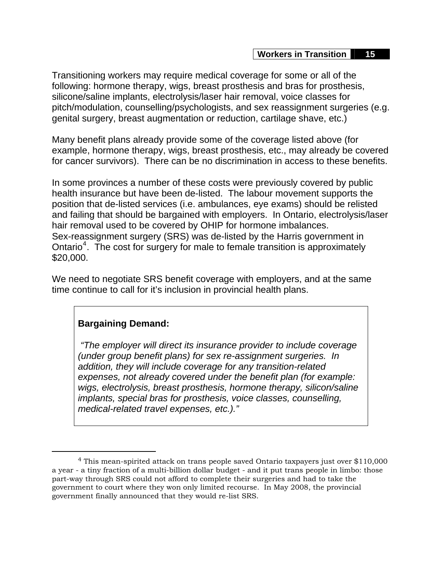Transitioning workers may require medical coverage for some or all of the following: hormone therapy, wigs, breast prosthesis and bras for prosthesis, silicone/saline implants, electrolysis/laser hair removal, voice classes for pitch/modulation, counselling/psychologists, and sex reassignment surgeries (e.g. genital surgery, breast augmentation or reduction, cartilage shave, etc.)

Many benefit plans already provide some of the coverage listed above (for example, hormone therapy, wigs, breast prosthesis, etc., may already be covered for cancer survivors). There can be no discrimination in access to these benefits.

In some provinces a number of these costs were previously covered by public health insurance but have been de-listed. The labour movement supports the position that de-listed services (i.e. ambulances, eye exams) should be relisted and failing that should be bargained with employers. In Ontario, electrolysis/laser hair removal used to be covered by OHIP for hormone imbalances. Sex-reassignment surgery (SRS) was de-listed by the Harris government in Ontario<sup>[4](#page-15-0)</sup>. The cost for surgery for male to female transition is approximately \$20,000.

We need to negotiate SRS benefit coverage with employers, and at the same time continue to call for it's inclusion in provincial health plans.

## **Bargaining Demand:**

*"The employer will direct its insurance provider to include coverage (under group benefit plans) for sex re-assignment surgeries. In addition, they will include coverage for any transition-related expenses, not already covered under the benefit plan (for example: wigs, electrolysis, breast prosthesis, hormone therapy, silicon/saline implants, special bras for prosthesis, voice classes, counselling, medical-related travel expenses, etc.)."*

<span id="page-15-0"></span> <sup>4</sup> This mean-spirited attack on trans people saved Ontario taxpayers just over \$110,000 a year - a tiny fraction of a multi-billion dollar budget - and it put trans people in limbo: those part-way through SRS could not afford to complete their surgeries and had to take the government to court where they won only limited recourse. In May 2008, the provincial government finally announced that they would re-list SRS.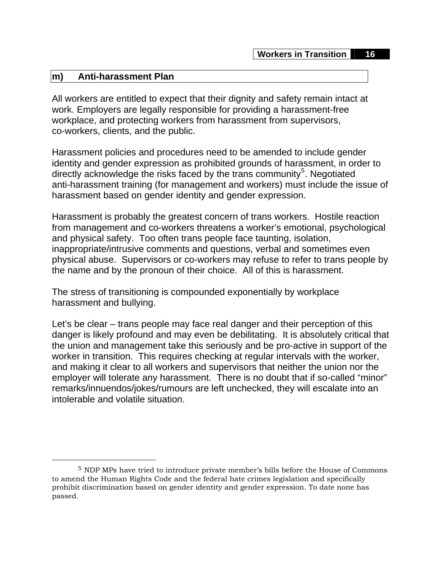#### **m) Anti-harassment Plan**

All workers are entitled to expect that their dignity and safety remain intact at work. Employers are legally responsible for providing a harassment-free workplace, and protecting workers from harassment from supervisors, co-workers, clients, and the public.

Harassment policies and procedures need to be amended to include gender identity and gender expression as prohibited grounds of harassment, in order to directly acknowledge the risks faced by the trans community<sup>[5](#page-16-0)</sup>. Negotiated anti-harassment training (for management and workers) must include the issue of harassment based on gender identity and gender expression.

Harassment is probably the greatest concern of trans workers. Hostile reaction from management and co-workers threatens a worker's emotional, psychological and physical safety. Too often trans people face taunting, isolation, inappropriate/intrusive comments and questions, verbal and sometimes even physical abuse. Supervisors or co-workers may refuse to refer to trans people by the name and by the pronoun of their choice. All of this is harassment.

The stress of transitioning is compounded exponentially by workplace harassment and bullying.

Let's be clear – trans people may face real danger and their perception of this danger is likely profound and may even be debilitating. It is absolutely critical that the union and management take this seriously and be pro-active in support of the worker in transition. This requires checking at regular intervals with the worker, and making it clear to all workers and supervisors that neither the union nor the employer will tolerate any harassment. There is no doubt that if so-called "minor" remarks/innuendos/jokes/rumours are left unchecked, they will escalate into an intolerable and volatile situation.

<span id="page-16-0"></span> <sup>5</sup> NDP MPs have tried to introduce private member's bills before the House of Commons to amend the Human Rights Code and the federal hate crimes legislation and specifically prohibit discrimination based on gender identity and gender expression. To date none has passed.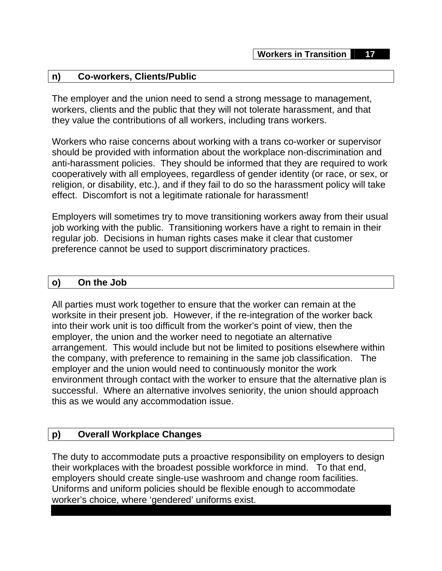#### **n) Co-workers, Clients/Public**

The employer and the union need to send a strong message to management, workers, clients and the public that they will not tolerate harassment, and that they value the contributions of all workers, including trans workers.

Workers who raise concerns about working with a trans co-worker or supervisor should be provided with information about the workplace non-discrimination and anti-harassment policies. They should be informed that they are required to work cooperatively with all employees, regardless of gender identity (or race, or sex, or religion, or disability, etc.), and if they fail to do so the harassment policy will take effect. Discomfort is not a legitimate rationale for harassment!

Employers will sometimes try to move transitioning workers away from their usual job working with the public. Transitioning workers have a right to remain in their regular job. Decisions in human rights cases make it clear that customer preference cannot be used to support discriminatory practices.

#### **o) On the Job**

All parties must work together to ensure that the worker can remain at the worksite in their present job. However, if the re-integration of the worker back into their work unit is too difficult from the worker's point of view, then the employer, the union and the worker need to negotiate an alternative arrangement. This would include but not be limited to positions elsewhere within the company, with preference to remaining in the same job classification. The employer and the union would need to continuously monitor the work environment through contact with the worker to ensure that the alternative plan is successful. Where an alternative involves seniority, the union should approach this as we would any accommodation issue.

#### **p) Overall Workplace Changes**

The duty to accommodate puts a proactive responsibility on employers to design their workplaces with the broadest possible workforce in mind. To that end, employers should create single-use washroom and change room facilities. Uniforms and uniform policies should be flexible enough to accommodate worker's choice, where 'gendered' uniforms exist.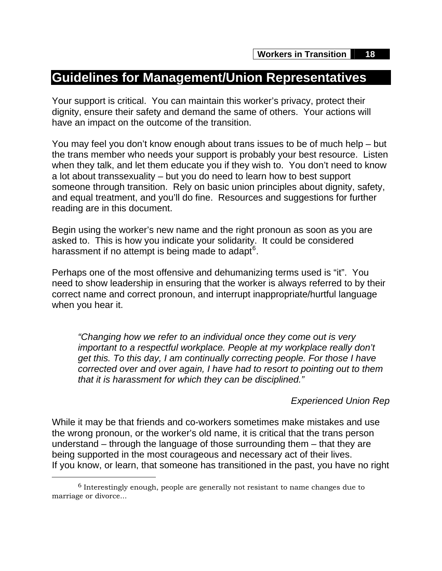## **Guidelines for Management/Union Representatives**

Your support is critical. You can maintain this worker's privacy, protect their dignity, ensure their safety and demand the same of others. Your actions will have an impact on the outcome of the transition.

You may feel you don't know enough about trans issues to be of much help – but the trans member who needs your support is probably your best resource. Listen when they talk, and let them educate you if they wish to. You don't need to know a lot about transsexuality – but you do need to learn how to best support someone through transition. Rely on basic union principles about dignity, safety, and equal treatment, and you'll do fine. Resources and suggestions for further reading are in this document.

Begin using the worker's new name and the right pronoun as soon as you are asked to. This is how you indicate your solidarity. It could be considered harassment if no attempt is being made to adapt $^6$  $^6$ .

Perhaps one of the most offensive and dehumanizing terms used is "it". You need to show leadership in ensuring that the worker is always referred to by their correct name and correct pronoun, and interrupt inappropriate/hurtful language when you hear it.

*"Changing how we refer to an individual once they come out is very important to a respectful workplace. People at my workplace really don't get this. To this day, I am continually correcting people. For those I have corrected over and over again, I have had to resort to pointing out to them that it is harassment for which they can be disciplined."*

## *Experienced Union Rep*

While it may be that friends and co-workers sometimes make mistakes and use the wrong pronoun, or the worker's old name, it is critical that the trans person understand – through the language of those surrounding them – that they are being supported in the most courageous and necessary act of their lives. If you know, or learn, that someone has transitioned in the past, you have no right

<span id="page-18-0"></span> $6$  Interestingly enough, people are generally not resistant to name changes due to marriage or divorce...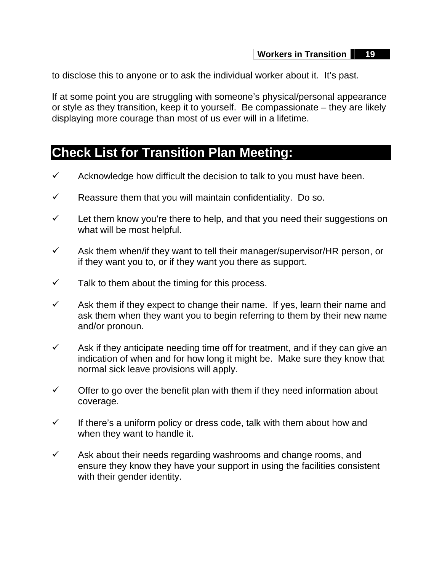to disclose this to anyone or to ask the individual worker about it. It's past.

If at some point you are struggling with someone's physical/personal appearance or style as they transition, keep it to yourself. Be compassionate – they are likely displaying more courage than most of us ever will in a lifetime.

## **Check List for Transition Plan Meeting:**

- $\checkmark$  Acknowledge how difficult the decision to talk to you must have been.
- $\checkmark$  Reassure them that you will maintain confidentiality. Do so.
- $\checkmark$  Let them know you're there to help, and that you need their suggestions on what will be most helpful.
- $\checkmark$  Ask them when/if they want to tell their manager/supervisor/HR person, or if they want you to, or if they want you there as support.
- $\checkmark$  Talk to them about the timing for this process.
- $\checkmark$  Ask them if they expect to change their name. If yes, learn their name and ask them when they want you to begin referring to them by their new name and/or pronoun.
- $\checkmark$  Ask if they anticipate needing time off for treatment, and if they can give an indication of when and for how long it might be. Make sure they know that normal sick leave provisions will apply.
- $\checkmark$  Offer to go over the benefit plan with them if they need information about coverage.
- $\checkmark$  If there's a uniform policy or dress code, talk with them about how and when they want to handle it.
- $\checkmark$  Ask about their needs regarding washrooms and change rooms, and ensure they know they have your support in using the facilities consistent with their gender identity.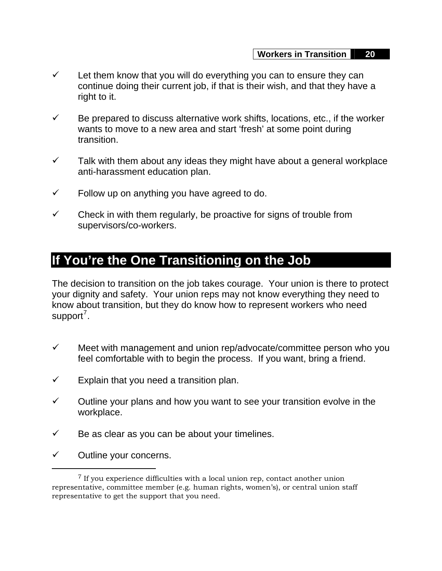- $\checkmark$  Let them know that you will do everything you can to ensure they can continue doing their current job, if that is their wish, and that they have a right to it.
- $\checkmark$  Be prepared to discuss alternative work shifts, locations, etc., if the worker wants to move to a new area and start 'fresh' at some point during transition.
- $\checkmark$  Talk with them about any ideas they might have about a general workplace anti-harassment education plan.
- $\checkmark$  Follow up on anything you have agreed to do.
- $\checkmark$  Check in with them regularly, be proactive for signs of trouble from supervisors/co-workers.

# **If You're the One Transitioning on the Job**

The decision to transition on the job takes courage. Your union is there to protect your dignity and safety. Your union reps may not know everything they need to know about transition, but they do know how to represent workers who need support<sup>[7](#page-20-0)</sup>.

- $\checkmark$  Meet with management and union rep/advocate/committee person who you feel comfortable with to begin the process. If you want, bring a friend.
- $\checkmark$  Explain that you need a transition plan.
- $\checkmark$  Outline your plans and how you want to see your transition evolve in the workplace.
- $\checkmark$  Be as clear as you can be about your timelines.
- $\checkmark$  Outline your concerns.

<span id="page-20-0"></span><sup>&</sup>lt;sup>7</sup> If you experience difficulties with a local union rep, contact another union representative, committee member (e.g. human rights, women's), or central union staff representative to get the support that you need.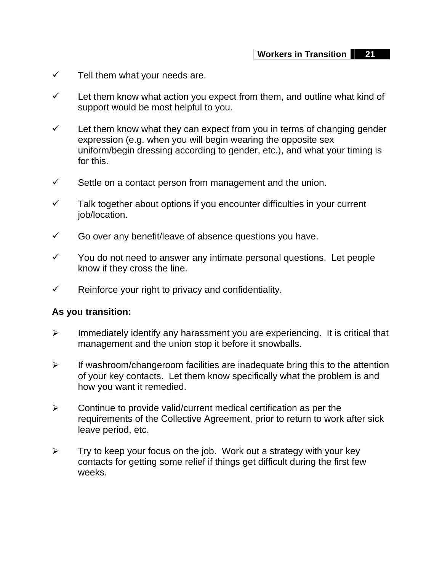- $\checkmark$  Tell them what your needs are.
- $\checkmark$  Let them know what action you expect from them, and outline what kind of support would be most helpful to you.
- $\checkmark$  Let them know what they can expect from you in terms of changing gender expression (e.g. when you will begin wearing the opposite sex uniform/begin dressing according to gender, etc.), and what your timing is for this.
- $\checkmark$  Settle on a contact person from management and the union.
- $\checkmark$  Talk together about options if you encounter difficulties in your current job/location.
- $\checkmark$  Go over any benefit/leave of absence questions you have.
- $\checkmark$  You do not need to answer any intimate personal questions. Let people know if they cross the line.
- $\checkmark$  Reinforce your right to privacy and confidentiality.

#### **As you transition:**

- $\triangleright$  Immediately identify any harassment you are experiencing. It is critical that management and the union stop it before it snowballs.
- $\triangleright$  If washroom/changeroom facilities are inadequate bring this to the attention of your key contacts. Let them know specifically what the problem is and how you want it remedied.
- $\triangleright$  Continue to provide valid/current medical certification as per the requirements of the Collective Agreement, prior to return to work after sick leave period, etc.
- $\triangleright$  Try to keep your focus on the job. Work out a strategy with your key contacts for getting some relief if things get difficult during the first few weeks.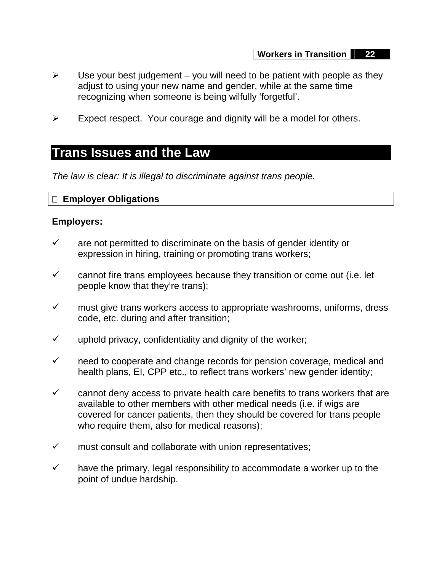- $\triangleright$  Use your best judgement you will need to be patient with people as they adjust to using your new name and gender, while at the same time recognizing when someone is being wilfully 'forgetful'.
- $\triangleright$  Expect respect. Your courage and dignity will be a model for others.

## **Trans Issues and the Law**

*The law is clear: It is illegal to discriminate against trans people.*

## **Employer Obligations**

#### **Employers:**

- $\checkmark$  are not permitted to discriminate on the basis of gender identity or expression in hiring, training or promoting trans workers;
- $\checkmark$  cannot fire trans employees because they transition or come out (i.e. let people know that they're trans);
- $\checkmark$  must give trans workers access to appropriate washrooms, uniforms, dress code, etc. during and after transition;
- $\checkmark$  uphold privacy, confidentiality and dignity of the worker;
- $\checkmark$  need to cooperate and change records for pension coverage, medical and health plans, EI, CPP etc., to reflect trans workers' new gender identity;
- $\checkmark$  cannot deny access to private health care benefits to trans workers that are available to other members with other medical needs (i.e. if wigs are covered for cancer patients, then they should be covered for trans people who require them, also for medical reasons);
- $\checkmark$  must consult and collaborate with union representatives;
- $\checkmark$  have the primary, legal responsibility to accommodate a worker up to the point of undue hardship.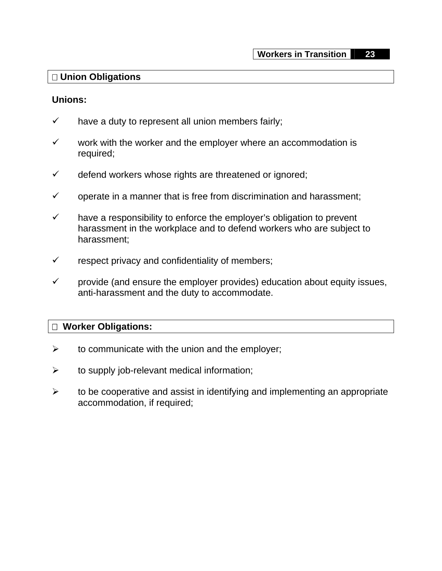#### **Union Obligations**

#### **Unions:**

- $\checkmark$  have a duty to represent all union members fairly;
- $\checkmark$  work with the worker and the employer where an accommodation is required;
- $\checkmark$  defend workers whose rights are threatened or ignored;
- $\checkmark$  operate in a manner that is free from discrimination and harassment;
- $\checkmark$  have a responsibility to enforce the employer's obligation to prevent harassment in the workplace and to defend workers who are subject to harassment;
- $\checkmark$  respect privacy and confidentiality of members;
- $\checkmark$  provide (and ensure the employer provides) education about equity issues, anti-harassment and the duty to accommodate.

## **Worker Obligations:**

- $\triangleright$  to communicate with the union and the employer;
- $\triangleright$  to supply job-relevant medical information;
- $\triangleright$  to be cooperative and assist in identifying and implementing an appropriate accommodation, if required;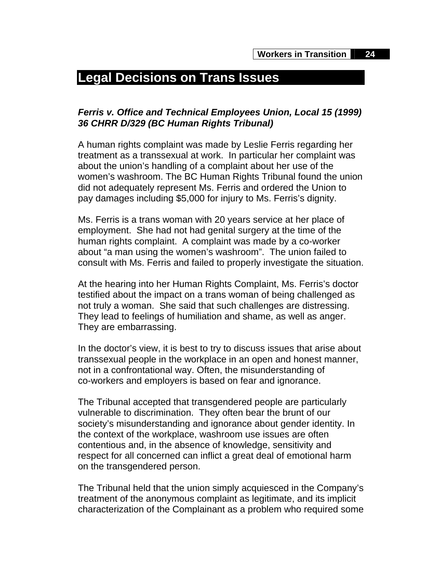# **Legal Decisions on Trans Issues**

## *Ferris v. Office and Technical Employees Union, Local 15 (1999) 36 CHRR D/329 (BC Human Rights Tribunal)*

A human rights complaint was made by Leslie Ferris regarding her treatment as a transsexual at work. In particular her complaint was about the union's handling of a complaint about her use of the women's washroom. The BC Human Rights Tribunal found the union did not adequately represent Ms. Ferris and ordered the Union to pay damages including \$5,000 for injury to Ms. Ferris's dignity.

Ms. Ferris is a trans woman with 20 years service at her place of employment. She had not had genital surgery at the time of the human rights complaint. A complaint was made by a co-worker about "a man using the women's washroom". The union failed to consult with Ms. Ferris and failed to properly investigate the situation.

At the hearing into her Human Rights Complaint, Ms. Ferris's doctor testified about the impact on a trans woman of being challenged as not truly a woman. She said that such challenges are distressing. They lead to feelings of humiliation and shame, as well as anger. They are embarrassing.

In the doctor's view, it is best to try to discuss issues that arise about transsexual people in the workplace in an open and honest manner, not in a confrontational way. Often, the misunderstanding of co-workers and employers is based on fear and ignorance.

The Tribunal accepted that transgendered people are particularly vulnerable to discrimination. They often bear the brunt of our society's misunderstanding and ignorance about gender identity. In the context of the workplace, washroom use issues are often contentious and, in the absence of knowledge, sensitivity and respect for all concerned can inflict a great deal of emotional harm on the transgendered person.

The Tribunal held that the union simply acquiesced in the Company's treatment of the anonymous complaint as legitimate, and its implicit characterization of the Complainant as a problem who required some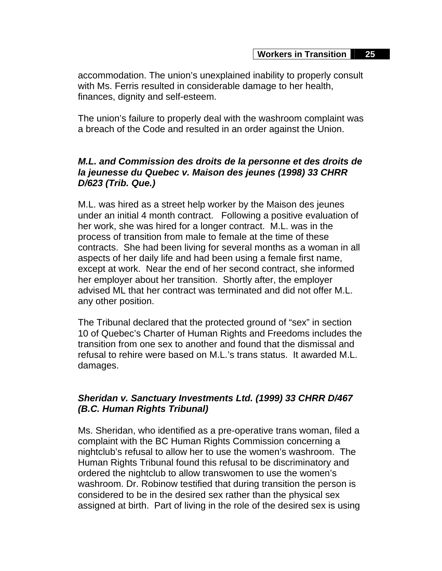accommodation. The union's unexplained inability to properly consult with Ms. Ferris resulted in considerable damage to her health, finances, dignity and self-esteem.

The union's failure to properly deal with the washroom complaint was a breach of the Code and resulted in an order against the Union.

## *M.L. and Commission des droits de la personne et des droits de la jeunesse du Quebec v. Maison des jeunes (1998) 33 CHRR D/623 (Trib. Que.)*

M.L. was hired as a street help worker by the Maison des jeunes under an initial 4 month contract. Following a positive evaluation of her work, she was hired for a longer contract. M.L. was in the process of transition from male to female at the time of these contracts. She had been living for several months as a woman in all aspects of her daily life and had been using a female first name, except at work. Near the end of her second contract, she informed her employer about her transition. Shortly after, the employer advised ML that her contract was terminated and did not offer M.L. any other position.

The Tribunal declared that the protected ground of "sex" in section 10 of Quebec's Charter of Human Rights and Freedoms includes the transition from one sex to another and found that the dismissal and refusal to rehire were based on M.L.'s trans status. It awarded M.L. damages.

## *Sheridan v. Sanctuary Investments Ltd. (1999) 33 CHRR D/467 (B.C. Human Rights Tribunal)*

Ms. Sheridan, who identified as a pre-operative trans woman, filed a complaint with the BC Human Rights Commission concerning a nightclub's refusal to allow her to use the women's washroom. The Human Rights Tribunal found this refusal to be discriminatory and ordered the nightclub to allow transwomen to use the women's washroom. Dr. Robinow testified that during transition the person is considered to be in the desired sex rather than the physical sex assigned at birth. Part of living in the role of the desired sex is using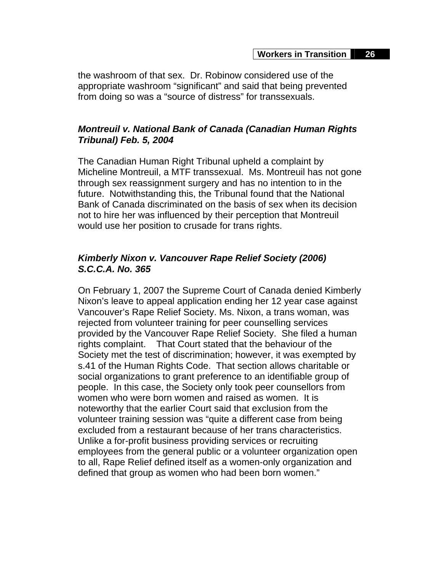the washroom of that sex. Dr. Robinow considered use of the appropriate washroom "significant" and said that being prevented from doing so was a "source of distress" for transsexuals.

## *Montreuil v. National Bank of Canada (Canadian Human Rights Tribunal) Feb. 5, 2004*

The Canadian Human Right Tribunal upheld a complaint by Micheline Montreuil, a MTF transsexual. Ms. Montreuil has not gone through sex reassignment surgery and has no intention to in the future. Notwithstanding this, the Tribunal found that the National Bank of Canada discriminated on the basis of sex when its decision not to hire her was influenced by their perception that Montreuil would use her position to crusade for trans rights.

## *Kimberly Nixon v. Vancouver Rape Relief Society (2006) S.C.C.A. No. 365*

On February 1, 2007 the Supreme Court of Canada denied Kimberly Nixon's leave to appeal application ending her 12 year case against Vancouver's Rape Relief Society. Ms. Nixon, a trans woman, was rejected from volunteer training for peer counselling services provided by the Vancouver Rape Relief Society. She filed a human rights complaint. That Court stated that the behaviour of the Society met the test of discrimination; however, it was exempted by s.41 of the Human Rights Code. That section allows charitable or social organizations to grant preference to an identifiable group of people. In this case, the Society only took peer counsellors from women who were born women and raised as women. It is noteworthy that the earlier Court said that exclusion from the volunteer training session was "quite a different case from being excluded from a restaurant because of her trans characteristics. Unlike a for-profit business providing services or recruiting employees from the general public or a volunteer organization open to all, Rape Relief defined itself as a women-only organization and defined that group as women who had been born women."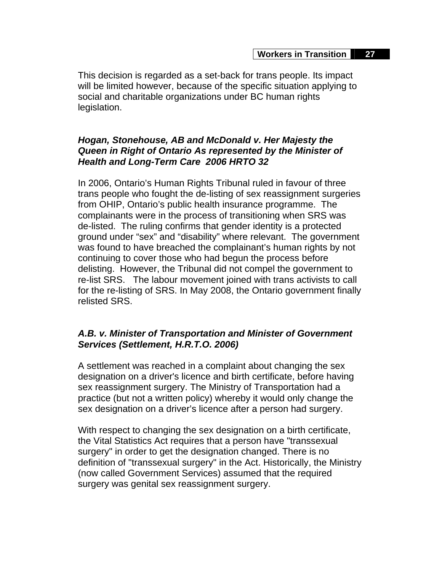This decision is regarded as a set-back for trans people. Its impact will be limited however, because of the specific situation applying to social and charitable organizations under BC human rights legislation.

## *Hogan, Stonehouse, AB and McDonald v. Her Majesty the Queen in Right of Ontario As represented by the Minister of Health and Long-Term Care 2006 HRTO 32*

In 2006, Ontario's Human Rights Tribunal ruled in favour of three trans people who fought the de-listing of sex reassignment surgeries from OHIP, Ontario's public health insurance programme. The complainants were in the process of transitioning when SRS was de-listed. The ruling confirms that gender identity is a protected ground under "sex" and "disability" where relevant. The government was found to have breached the complainant's human rights by not continuing to cover those who had begun the process before delisting. However, the Tribunal did not compel the government to re-list SRS. The labour movement joined with trans activists to call for the re-listing of SRS. In May 2008, the Ontario government finally relisted SRS.

## *A.B. v. Minister of Transportation and Minister of Government Services (Settlement, H.R.T.O. 2006)*

A settlement was reached in a complaint about changing the sex designation on a driver's licence and birth certificate, before having sex reassignment surgery. The Ministry of Transportation had a practice (but not a written policy) whereby it would only change the sex designation on a driver's licence after a person had surgery.

With respect to changing the sex designation on a birth certificate, the Vital Statistics Act requires that a person have "transsexual surgery" in order to get the designation changed. There is no definition of "transsexual surgery" in the Act. Historically, the Ministry (now called Government Services) assumed that the required surgery was genital sex reassignment surgery.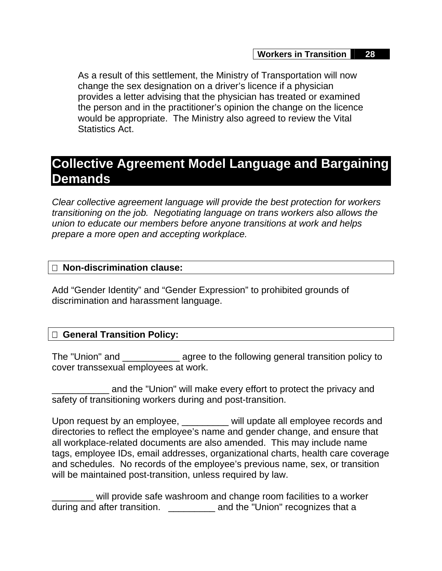As a result of this settlement, the Ministry of Transportation will now change the sex designation on a driver's licence if a physician provides a letter advising that the physician has treated or examined the person and in the practitioner's opinion the change on the licence would be appropriate. The Ministry also agreed to review the Vital Statistics Act.

## **Collective Agreement Model Language and Bargaining Demands**

*Clear collective agreement language will provide the best protection for workers transitioning on the job. Negotiating language on trans workers also allows the union to educate our members before anyone transitions at work and helps prepare a more open and accepting workplace.*

#### **Non-discrimination clause:**

Add "Gender Identity" and "Gender Expression" to prohibited grounds of discrimination and harassment language.

## **General Transition Policy:**

The "Union" and \_\_\_\_\_\_\_\_\_\_\_ agree to the following general transition policy to cover transsexual employees at work.

and the "Union" will make every effort to protect the privacy and safety of transitioning workers during and post-transition.

Upon request by an employee, will update all employee records and directories to reflect the employee's name and gender change, and ensure that all workplace-related documents are also amended. This may include name tags, employee IDs, email addresses, organizational charts, health care coverage and schedules. No records of the employee's previous name, sex, or transition will be maintained post-transition, unless required by law.

will provide safe washroom and change room facilities to a worker during and after transition. **Example 20** and the "Union" recognizes that a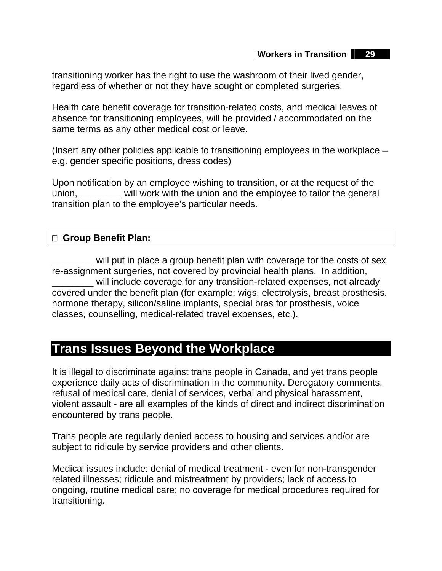transitioning worker has the right to use the washroom of their lived gender, regardless of whether or not they have sought or completed surgeries.

Health care benefit coverage for transition-related costs, and medical leaves of absence for transitioning employees, will be provided / accommodated on the same terms as any other medical cost or leave.

(Insert any other policies applicable to transitioning employees in the workplace – e.g. gender specific positions, dress codes)

Upon notification by an employee wishing to transition, or at the request of the union, \_\_\_\_\_\_\_\_ will work with the union and the employee to tailor the general transition plan to the employee's particular needs.

## **Group Benefit Plan:**

will put in place a group benefit plan with coverage for the costs of sex re-assignment surgeries, not covered by provincial health plans. In addition, will include coverage for any transition-related expenses, not already covered under the benefit plan (for example: wigs, electrolysis, breast prosthesis, hormone therapy, silicon/saline implants, special bras for prosthesis, voice classes, counselling, medical-related travel expenses, etc.).

## **Trans Issues Beyond the Workplace**

It is illegal to discriminate against trans people in Canada, and yet trans people experience daily acts of discrimination in the community. Derogatory comments, refusal of medical care, denial of services, verbal and physical harassment, violent assault - are all examples of the kinds of direct and indirect discrimination encountered by trans people.

Trans people are regularly denied access to housing and services and/or are subject to ridicule by service providers and other clients.

Medical issues include: denial of medical treatment - even for non-transgender related illnesses; ridicule and mistreatment by providers; lack of access to ongoing, routine medical care; no coverage for medical procedures required for transitioning.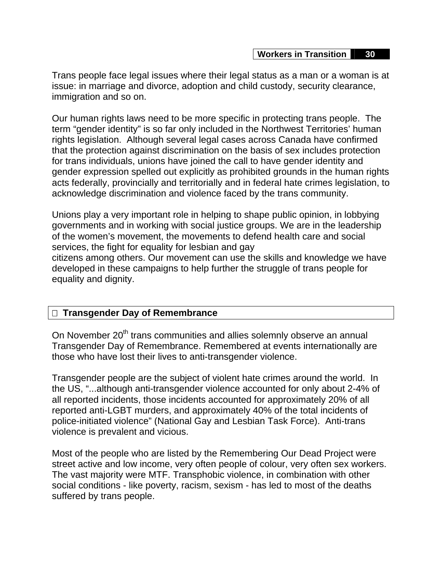Trans people face legal issues where their legal status as a man or a woman is at issue: in marriage and divorce, adoption and child custody, security clearance, immigration and so on.

Our human rights laws need to be more specific in protecting trans people. The term "gender identity" is so far only included in the Northwest Territories' human rights legislation. Although several legal cases across Canada have confirmed that the protection against discrimination on the basis of sex includes protection for trans individuals, unions have joined the call to have gender identity and gender expression spelled out explicitly as prohibited grounds in the human rights acts federally, provincially and territorially and in federal hate crimes legislation, to acknowledge discrimination and violence faced by the trans community.

Unions play a very important role in helping to shape public opinion, in lobbying governments and in working with social justice groups. We are in the leadership of the women's movement, the movements to defend health care and social services, the fight for equality for lesbian and gay

citizens among others. Our movement can use the skills and knowledge we have developed in these campaigns to help further the struggle of trans people for equality and dignity.

## **Transgender Day of Remembrance**

On November 20<sup>th</sup> trans communities and allies solemnly observe an annual Transgender Day of Remembrance. Remembered at events internationally are those who have lost their lives to anti-transgender violence.

Transgender people are the subject of violent hate crimes around the world. In the US, "...although anti-transgender violence accounted for only about 2-4% of all reported incidents, those incidents accounted for approximately 20% of all reported anti-LGBT murders, and approximately 40% of the total incidents of police-initiated violence" (National Gay and Lesbian Task Force). Anti-trans violence is prevalent and vicious.

Most of the people who are listed by the Remembering Our Dead Project were street active and low income, very often people of colour, very often sex workers. The vast majority were MTF. Transphobic violence, in combination with other social conditions - like poverty, racism, sexism - has led to most of the deaths suffered by trans people.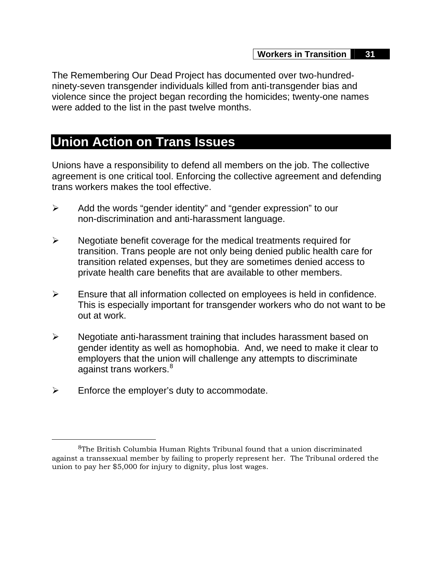The Remembering Our Dead Project has documented over two-hundredninety-seven transgender individuals killed from anti-transgender bias and violence since the project began recording the homicides; twenty-one names were added to the list in the past twelve months.

## **Union Action on Trans Issues**

Unions have a responsibility to defend all members on the job. The collective agreement is one critical tool. Enforcing the collective agreement and defending trans workers makes the tool effective.

- $\triangleright$  Add the words "gender identity" and "gender expression" to our non-discrimination and anti-harassment language.
- $\triangleright$  Negotiate benefit coverage for the medical treatments required for transition. Trans people are not only being denied public health care for transition related expenses, but they are sometimes denied access to private health care benefits that are available to other members.
- $\triangleright$  Ensure that all information collected on employees is held in confidence. This is especially important for transgender workers who do not want to be out at work.
- ¾ Negotiate anti-harassment training that includes harassment based on gender identity as well as homophobia. And, we need to make it clear to employers that the union will challenge any attempts to discriminate against trans workers.<sup>[8](#page-31-0)</sup>
- $\triangleright$  Enforce the employer's duty to accommodate.

<span id="page-31-0"></span> <sup>8</sup>The British Columbia Human Rights Tribunal found that a union discriminated against a transsexual member by failing to properly represent her. The Tribunal ordered the union to pay her \$5,000 for injury to dignity, plus lost wages.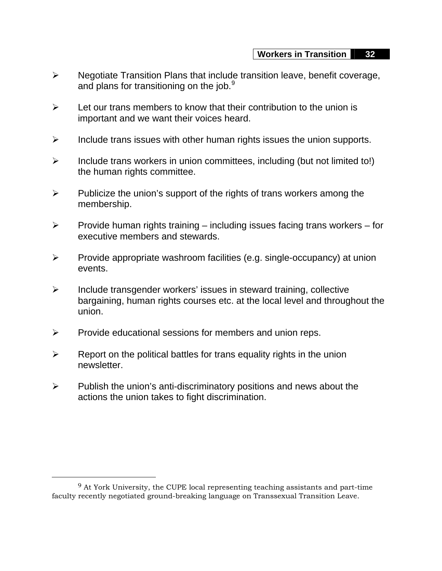- ¾ Negotiate Transition Plans that include transition leave, benefit coverage, and plans for transitioning on the job. $9$
- $\triangleright$  Let our trans members to know that their contribution to the union is important and we want their voices heard.
- $\triangleright$  Include trans issues with other human rights issues the union supports.
- $\triangleright$  Include trans workers in union committees, including (but not limited to!) the human rights committee.
- $\triangleright$  Publicize the union's support of the rights of trans workers among the membership.
- $\triangleright$  Provide human rights training including issues facing trans workers for executive members and stewards.
- $\triangleright$  Provide appropriate washroom facilities (e.g. single-occupancy) at union events.
- $\triangleright$  Include transgender workers' issues in steward training, collective bargaining, human rights courses etc. at the local level and throughout the union.
- $\triangleright$  Provide educational sessions for members and union reps.
- $\triangleright$  Report on the political battles for trans equality rights in the union newsletter.
- $\triangleright$  Publish the union's anti-discriminatory positions and news about the actions the union takes to fight discrimination.

 $\overline{a}$ 

<span id="page-32-0"></span><sup>9</sup> At York University, the CUPE local representing teaching assistants and part-time faculty recently negotiated ground-breaking language on Transsexual Transition Leave.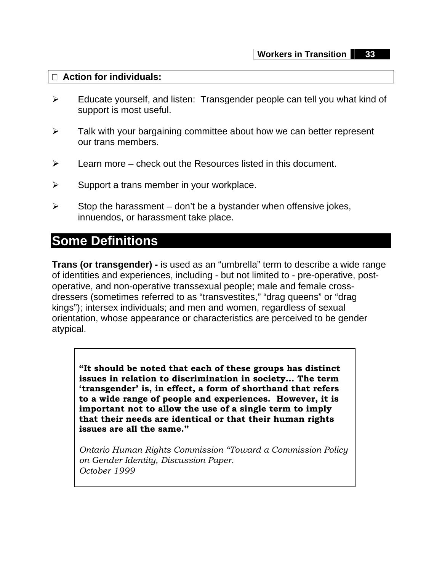#### **Action for individuals:**

- ¾ Educate yourself, and listen: Transgender people can tell you what kind of support is most useful.
- $\triangleright$  Talk with your bargaining committee about how we can better represent our trans members.
- $\triangleright$  Learn more check out the Resources listed in this document.
- $\triangleright$  Support a trans member in your workplace.
- $\triangleright$  Stop the harassment don't be a bystander when offensive jokes, innuendos, or harassment take place.

## **Some Definitions**

**Trans (or transgender) -** is used as an "umbrella" term to describe a wide range of identities and experiences, including - but not limited to - pre-operative, postoperative, and non-operative transsexual people; male and female crossdressers (sometimes referred to as "transvestites," "drag queens" or "drag kings"); intersex individuals; and men and women, regardless of sexual orientation, whose appearance or characteristics are perceived to be gender atypical.

**"It should be noted that each of these groups has distinct issues in relation to discrimination in society... The term 'transgender' is, in effect, a form of shorthand that refers to a wide range of people and experiences. However, it is important not to allow the use of a single term to imply that their needs are identical or that their human rights issues are all the same."** 

*Ontario Human Rights Commission "Toward a Commission Policy on Gender Identity, Discussion Paper. October 1999*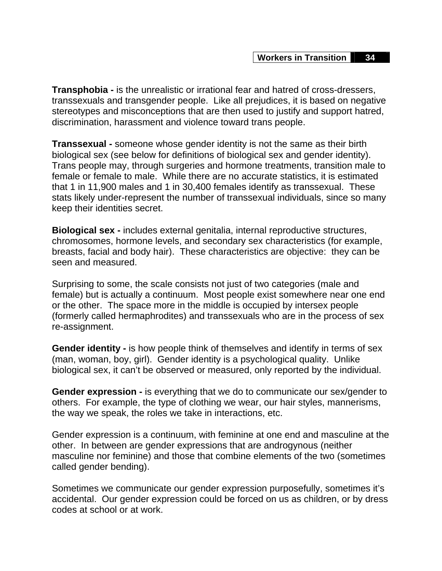**Transphobia -** is the unrealistic or irrational fear and hatred of cross-dressers, transsexuals and transgender people. Like all prejudices, it is based on negative stereotypes and misconceptions that are then used to justify and support hatred, discrimination, harassment and violence toward trans people.

**Transsexual -** someone whose gender identity is not the same as their birth biological sex (see below for definitions of biological sex and gender identity). Trans people may, through surgeries and hormone treatments, transition male to female or female to male. While there are no accurate statistics, it is estimated that 1 in 11,900 males and 1 in 30,400 females identify as transsexual. These stats likely under-represent the number of transsexual individuals, since so many keep their identities secret.

**Biological sex -** includes external genitalia, internal reproductive structures, chromosomes, hormone levels, and secondary sex characteristics (for example, breasts, facial and body hair). These characteristics are objective: they can be seen and measured.

Surprising to some, the scale consists not just of two categories (male and female) but is actually a continuum. Most people exist somewhere near one end or the other. The space more in the middle is occupied by intersex people (formerly called hermaphrodites) and transsexuals who are in the process of sex re-assignment.

**Gender identity -** is how people think of themselves and identify in terms of sex (man, woman, boy, girl). Gender identity is a psychological quality. Unlike biological sex, it can't be observed or measured, only reported by the individual.

**Gender expression -** is everything that we do to communicate our sex/gender to others. For example, the type of clothing we wear, our hair styles, mannerisms, the way we speak, the roles we take in interactions, etc.

Gender expression is a continuum, with feminine at one end and masculine at the other. In between are gender expressions that are androgynous (neither masculine nor feminine) and those that combine elements of the two (sometimes called gender bending).

Sometimes we communicate our gender expression purposefully, sometimes it's accidental. Our gender expression could be forced on us as children, or by dress codes at school or at work.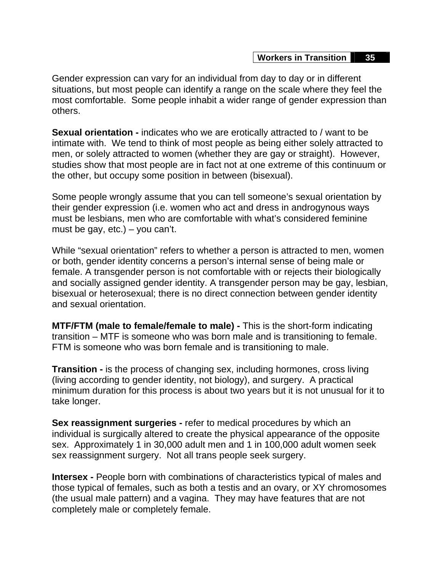Gender expression can vary for an individual from day to day or in different situations, but most people can identify a range on the scale where they feel the most comfortable. Some people inhabit a wider range of gender expression than others.

**Sexual orientation -** indicates who we are erotically attracted to / want to be intimate with. We tend to think of most people as being either solely attracted to men, or solely attracted to women (whether they are gay or straight). However, studies show that most people are in fact not at one extreme of this continuum or the other, but occupy some position in between (bisexual).

Some people wrongly assume that you can tell someone's sexual orientation by their gender expression (i.e. women who act and dress in androgynous ways must be lesbians, men who are comfortable with what's considered feminine must be gay,  $etc.$ ) – you can't.

While "sexual orientation" refers to whether a person is attracted to men, women or both, gender identity concerns a person's internal sense of being male or female. A transgender person is not comfortable with or rejects their biologically and socially assigned gender identity. A transgender person may be gay, lesbian, bisexual or heterosexual; there is no direct connection between gender identity and sexual orientation.

**MTF/FTM (male to female/female to male) -** This is the short-form indicating transition – MTF is someone who was born male and is transitioning to female. FTM is someone who was born female and is transitioning to male.

**Transition -** is the process of changing sex, including hormones, cross living (living according to gender identity, not biology), and surgery. A practical minimum duration for this process is about two years but it is not unusual for it to take longer.

**Sex reassignment surgeries -** refer to medical procedures by which an individual is surgically altered to create the physical appearance of the opposite sex. Approximately 1 in 30,000 adult men and 1 in 100,000 adult women seek sex reassignment surgery. Not all trans people seek surgery.

**Intersex -** People born with combinations of characteristics typical of males and those typical of females, such as both a testis and an ovary, or XY chromosomes (the usual male pattern) and a vagina. They may have features that are not completely male or completely female.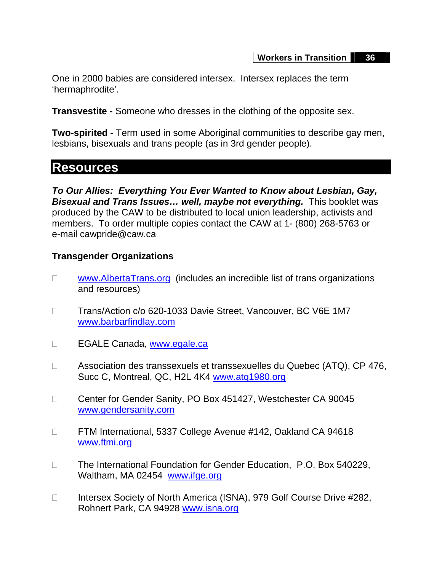One in 2000 babies are considered intersex. Intersex replaces the term 'hermaphrodite'.

**Transvestite -** Someone who dresses in the clothing of the opposite sex.

**Two-spirited -** Term used in some Aboriginal communities to describe gay men, lesbians, bisexuals and trans people (as in 3rd gender people).

## **Resources**

*To Our Allies: Everything You Ever Wanted to Know about Lesbian, Gay, Bisexual and Trans Issues… well, maybe not everything.* This booklet was produced by the CAW to be distributed to local union leadership, activists and members. To order multiple copies contact the CAW at 1- (800) 268-5763 or e-mail cawpride@caw.ca

## **Transgender Organizations**

- □ [www.AlbertaTrans.org](http://www.AlbertaTrans.org) (includes an incredible list of trans organizations and resources)
- □ Trans/Action c/o 620-1033 Davie Street, Vancouver, BC V6E 1M7 [www.barbarfindlay.com](http://www.barbarfindlay.com)
- EGALE Canada, [www.egale.ca](http://www.egale.ca)
- □ Association des transsexuels et transsexuelles du Quebec (ATQ), CP 476, Succ C, Montreal, QC, H2L 4K4 [www.atq1980.org](http://www.atq1980.org)
- □ Center for Gender Sanity, PO Box 451427, Westchester CA 90045 [www.gendersanity.com](http://www.gendersanity.com)
- □ FTM International, 5337 College Avenue #142, Oakland CA 94618 [www.ftmi.org](http://www.ftmi.org)
- □ The International Foundation for Gender Education, P.O. Box 540229, Waltham, MA 02454 [www.ifge.org](http://www.ifge.org)
- □ Intersex Society of North America (ISNA), 979 Golf Course Drive #282, Rohnert Park, CA 94928 [www.isna.org](http://www.isna.org)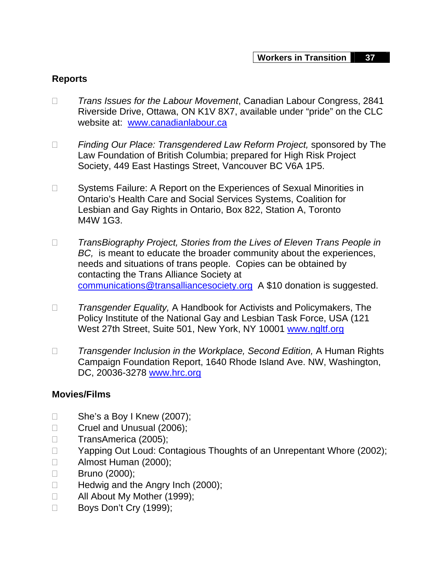## **Reports**

- *Trans Issues for the Labour Movement*, Canadian Labour Congress, 2841 Riverside Drive, Ottawa, ON K1V 8X7, available under "pride" on the CLC website at: [www.canadianlabour.ca](http://www.canadianlabour.ca)
- *Finding Our Place: Transgendered Law Reform Project,* sponsored by The Law Foundation of British Columbia; prepared for High Risk Project Society, 449 East Hastings Street, Vancouver BC V6A 1P5.
- □ Systems Failure: A Report on the Experiences of Sexual Minorities in Ontario's Health Care and Social Services Systems, Coalition for Lesbian and Gay Rights in Ontario, Box 822, Station A, Toronto M4W 1G3.
- *TransBiography Project, Stories from the Lives of Eleven Trans People in BC,* is meant to educate the broader community about the experiences, needs and situations of trans people. Copies can be obtained by contacting the Trans Alliance Society at [communications@transalliancesociety.org](mailto:communications@transalliancesociety.org) A \$10 donation is suggested.
- *Transgender Equality,* A Handbook for Activists and Policymakers, The Policy Institute of the National Gay and Lesbian Task Force, USA (121 West 27th Street, Suite 501, New York, NY 10001 [www.ngltf.org](http://www.ngltf.org)
- □ Transgender Inclusion in the Workplace, Second Edition, A Human Rights Campaign Foundation Report, 1640 Rhode Island Ave. NW, Washington, DC, 20036-3278 [www.hrc.org](http://www.hrc.org)

## **Movies/Films**

- $\Box$  She's a Boy I Knew (2007);
- Cruel and Unusual (2006);
- □ TransAmerica (2005);
- □ Yapping Out Loud: Contagious Thoughts of an Unrepentant Whore (2002);
- Almost Human (2000);
- □ Bruno (2000);
- $\Box$  Hedwig and the Angry Inch (2000);
- All About My Mother (1999);
- Boys Don't Cry (1999);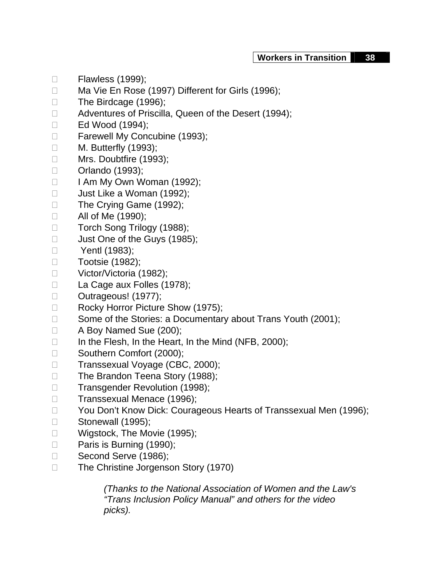- □ Flawless (1999);
- □ Ma Vie En Rose (1997) Different for Girls (1996);
- □ The Birdcage (1996);
- □ Adventures of Priscilla, Queen of the Desert (1994);
- □ Ed Wood (1994);
- Farewell My Concubine (1993);
- □ M. Butterfly (1993);
- □ Mrs. Doubtfire (1993);
- □ Orlando (1993);
- $\Box$  I Am My Own Woman (1992);
- □ Just Like a Woman (1992);
- □ The Crying Game (1992);
- □ All of Me (1990);
- □ Torch Song Trilogy (1988);
- **Just One of the Guys (1985);**
- □ **Yentl (1983)**;
- □ Tootsie (1982);
- □ Victor/Victoria (1982);
- □ La Cage aux Folles (1978);
- D Outrageous! (1977);
- Rocky Horror Picture Show (1975);
- $\Box$  Some of the Stories: a Documentary about Trans Youth (2001);
- □ A Boy Named Sue (200);
- □ In the Flesh, In the Heart, In the Mind (NFB, 2000);
- □ Southern Comfort (2000);
- □ Transsexual Voyage (CBC, 2000);
- □ The Brandon Teena Story (1988);
- □ Transgender Revolution (1998);
- □ Transsexual Menace (1996);
- □ You Don't Know Dick: Courageous Hearts of Transsexual Men (1996);
- □ Stonewall (1995);
- □ Wigstock, The Movie (1995);
- D Paris is Burning (1990);
- □ Second Serve (1986);
- □ The Christine Jorgenson Story (1970)

*(Thanks to the National Association of Women and the Law's "Trans Inclusion Policy Manual" and others for the video picks).*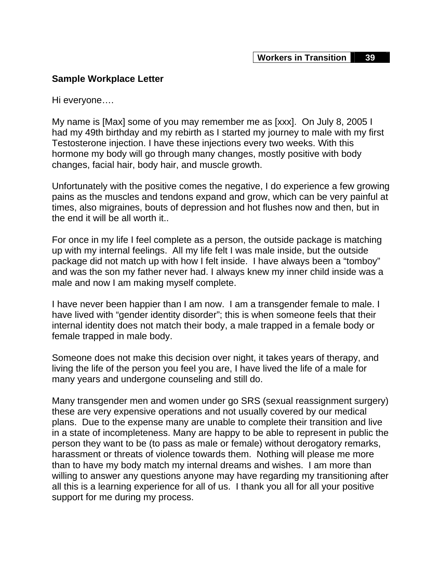#### **Sample Workplace Letter**

Hi everyone….

My name is [Max] some of you may remember me as [xxx]. On July 8, 2005 I had my 49th birthday and my rebirth as I started my journey to male with my first Testosterone injection. I have these injections every two weeks. With this hormone my body will go through many changes, mostly positive with body changes, facial hair, body hair, and muscle growth.

Unfortunately with the positive comes the negative, I do experience a few growing pains as the muscles and tendons expand and grow, which can be very painful at times, also migraines, bouts of depression and hot flushes now and then, but in the end it will be all worth it..

For once in my life I feel complete as a person, the outside package is matching up with my internal feelings. All my life felt I was male inside, but the outside package did not match up with how I felt inside. I have always been a "tomboy" and was the son my father never had. I always knew my inner child inside was a male and now I am making myself complete.

I have never been happier than I am now. I am a transgender female to male. I have lived with "gender identity disorder"; this is when someone feels that their internal identity does not match their body, a male trapped in a female body or female trapped in male body.

Someone does not make this decision over night, it takes years of therapy, and living the life of the person you feel you are, I have lived the life of a male for many years and undergone counseling and still do.

Many transgender men and women under go SRS (sexual reassignment surgery) these are very expensive operations and not usually covered by our medical plans. Due to the expense many are unable to complete their transition and live in a state of incompleteness. Many are happy to be able to represent in public the person they want to be (to pass as male or female) without derogatory remarks, harassment or threats of violence towards them. Nothing will please me more than to have my body match my internal dreams and wishes. I am more than willing to answer any questions anyone may have regarding my transitioning after all this is a learning experience for all of us. I thank you all for all your positive support for me during my process.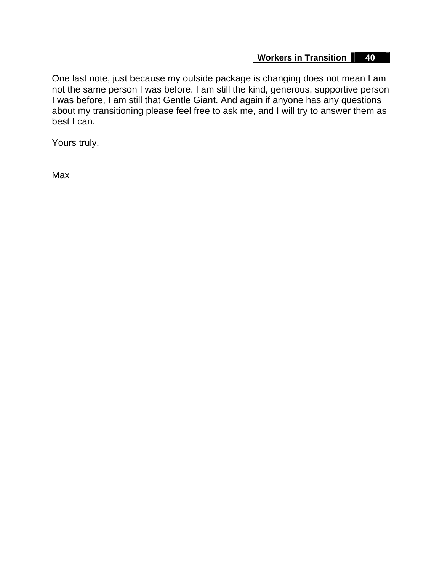One last note, just because my outside package is changing does not mean I am not the same person I was before. I am still the kind, generous, supportive person I was before, I am still that Gentle Giant. And again if anyone has any questions about my transitioning please feel free to ask me, and I will try to answer them as best I can.

Yours truly,

Max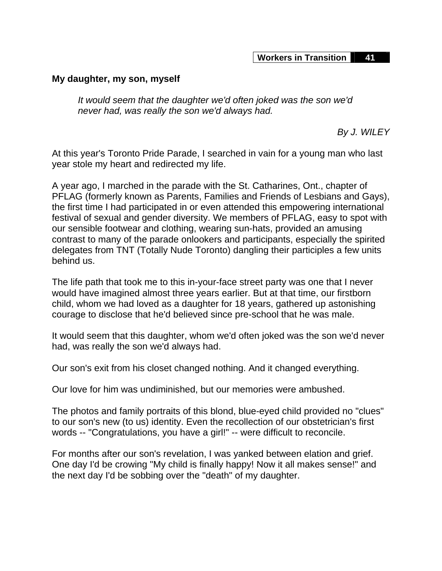#### **My daughter, my son, myself**

*It would seem that the daughter we'd often joked was the son we'd never had, was really the son we'd always had.* 

 *By J. WILEY* 

At this year's Toronto Pride Parade, I searched in vain for a young man who last year stole my heart and redirected my life.

A year ago, I marched in the parade with the St. Catharines, Ont., chapter of PFLAG (formerly known as Parents, Families and Friends of Lesbians and Gays), the first time I had participated in or even attended this empowering international festival of sexual and gender diversity. We members of PFLAG, easy to spot with our sensible footwear and clothing, wearing sun-hats, provided an amusing contrast to many of the parade onlookers and participants, especially the spirited delegates from TNT (Totally Nude Toronto) dangling their participles a few units behind us.

The life path that took me to this in-your-face street party was one that I never would have imagined almost three years earlier. But at that time, our firstborn child, whom we had loved as a daughter for 18 years, gathered up astonishing courage to disclose that he'd believed since pre-school that he was male.

It would seem that this daughter, whom we'd often joked was the son we'd never had, was really the son we'd always had.

Our son's exit from his closet changed nothing. And it changed everything.

Our love for him was undiminished, but our memories were ambushed.

The photos and family portraits of this blond, blue-eyed child provided no "clues" to our son's new (to us) identity. Even the recollection of our obstetrician's first words -- "Congratulations, you have a girl!" -- were difficult to reconcile.

For months after our son's revelation, I was yanked between elation and grief. One day I'd be crowing "My child is finally happy! Now it all makes sense!" and the next day I'd be sobbing over the "death" of my daughter.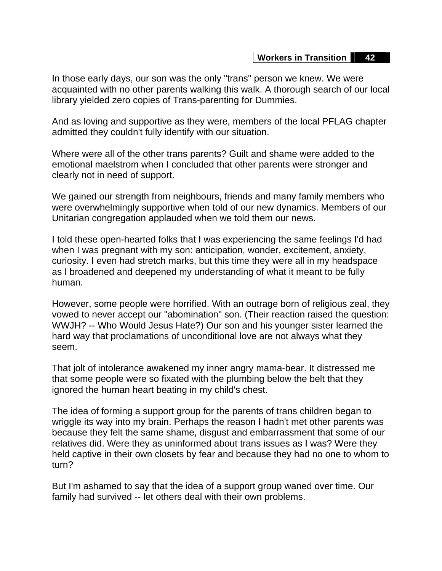In those early days, our son was the only "trans" person we knew. We were acquainted with no other parents walking this walk. A thorough search of our local library yielded zero copies of Trans-parenting for Dummies.

And as loving and supportive as they were, members of the local PFLAG chapter admitted they couldn't fully identify with our situation.

Where were all of the other trans parents? Guilt and shame were added to the emotional maelstrom when I concluded that other parents were stronger and clearly not in need of support.

We gained our strength from neighbours, friends and many family members who were overwhelmingly supportive when told of our new dynamics. Members of our Unitarian congregation applauded when we told them our news.

I told these open-hearted folks that I was experiencing the same feelings I'd had when I was pregnant with my son: anticipation, wonder, excitement, anxiety, curiosity. I even had stretch marks, but this time they were all in my headspace as I broadened and deepened my understanding of what it meant to be fully human.

However, some people were horrified. With an outrage born of religious zeal, they vowed to never accept our "abomination" son. (Their reaction raised the question: WWJH? -- Who Would Jesus Hate?) Our son and his younger sister learned the hard way that proclamations of unconditional love are not always what they seem.

That jolt of intolerance awakened my inner angry mama-bear. It distressed me that some people were so fixated with the plumbing below the belt that they ignored the human heart beating in my child's chest.

The idea of forming a support group for the parents of trans children began to wriggle its way into my brain. Perhaps the reason I hadn't met other parents was because they felt the same shame, disgust and embarrassment that some of our relatives did. Were they as uninformed about trans issues as I was? Were they held captive in their own closets by fear and because they had no one to whom to turn?

But I'm ashamed to say that the idea of a support group waned over time. Our family had survived -- let others deal with their own problems.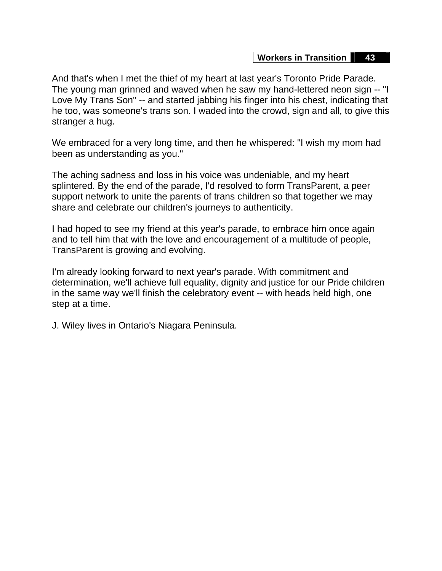And that's when I met the thief of my heart at last year's Toronto Pride Parade. The young man grinned and waved when he saw my hand-lettered neon sign -- "I Love My Trans Son" -- and started jabbing his finger into his chest, indicating that he too, was someone's trans son. I waded into the crowd, sign and all, to give this stranger a hug.

We embraced for a very long time, and then he whispered: "I wish my mom had been as understanding as you."

The aching sadness and loss in his voice was undeniable, and my heart splintered. By the end of the parade, I'd resolved to form TransParent, a peer support network to unite the parents of trans children so that together we may share and celebrate our children's journeys to authenticity.

I had hoped to see my friend at this year's parade, to embrace him once again and to tell him that with the love and encouragement of a multitude of people, TransParent is growing and evolving.

I'm already looking forward to next year's parade. With commitment and determination, we'll achieve full equality, dignity and justice for our Pride children in the same way we'll finish the celebratory event -- with heads held high, one step at a time.

J. Wiley lives in Ontario's Niagara Peninsula.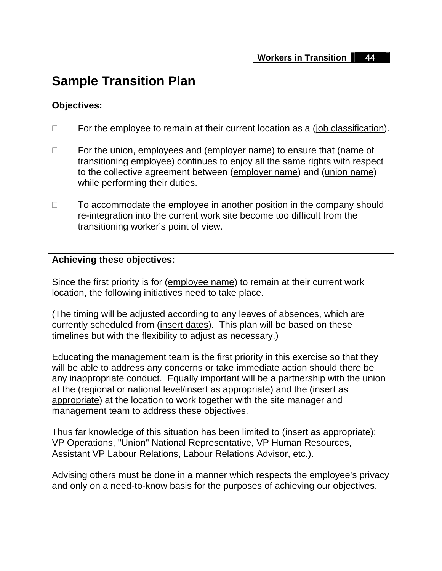# **Sample Transition Plan**

#### **Objectives:**

- $\Box$  For the employee to remain at their current location as a (job classification).
- $\Box$  For the union, employees and (employer name) to ensure that (name of transitioning employee) continues to enjoy all the same rights with respect to the collective agreement between (employer name) and (union name) while performing their duties.
- $\Box$  To accommodate the employee in another position in the company should re-integration into the current work site become too difficult from the transitioning worker's point of view.

#### **Achieving these objectives:**

Since the first priority is for (employee name) to remain at their current work location, the following initiatives need to take place.

(The timing will be adjusted according to any leaves of absences, which are currently scheduled from (insert dates). This plan will be based on these timelines but with the flexibility to adjust as necessary.)

Educating the management team is the first priority in this exercise so that they will be able to address any concerns or take immediate action should there be any inappropriate conduct. Equally important will be a partnership with the union at the (regional or national level/insert as appropriate) and the (insert as appropriate) at the location to work together with the site manager and management team to address these objectives.

Thus far knowledge of this situation has been limited to (insert as appropriate): VP Operations, "Union" National Representative, VP Human Resources, Assistant VP Labour Relations, Labour Relations Advisor, etc.).

Advising others must be done in a manner which respects the employee's privacy and only on a need-to-know basis for the purposes of achieving our objectives.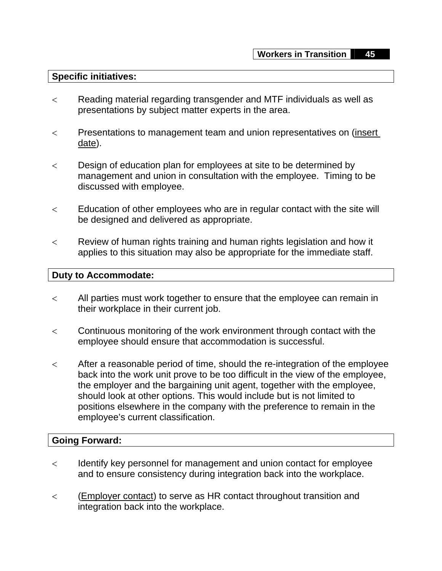#### **Specific initiatives:**

- < Reading material regarding transgender and MTF individuals as well as presentations by subject matter experts in the area.
- < Presentations to management team and union representatives on (insert date).
- < Design of education plan for employees at site to be determined by management and union in consultation with the employee. Timing to be discussed with employee.
- $\lt$  Education of other employees who are in regular contact with the site will be designed and delivered as appropriate.
- < Review of human rights training and human rights legislation and how it applies to this situation may also be appropriate for the immediate staff.

#### **Duty to Accommodate:**

- < All parties must work together to ensure that the employee can remain in their workplace in their current job.
- < Continuous monitoring of the work environment through contact with the employee should ensure that accommodation is successful.
- $\lt$  After a reasonable period of time, should the re-integration of the employee back into the work unit prove to be too difficult in the view of the employee, the employer and the bargaining unit agent, together with the employee, should look at other options. This would include but is not limited to positions elsewhere in the company with the preference to remain in the employee's current classification.

#### **Going Forward:**

- < Identify key personnel for management and union contact for employee and to ensure consistency during integration back into the workplace.
- < (Employer contact) to serve as HR contact throughout transition and integration back into the workplace.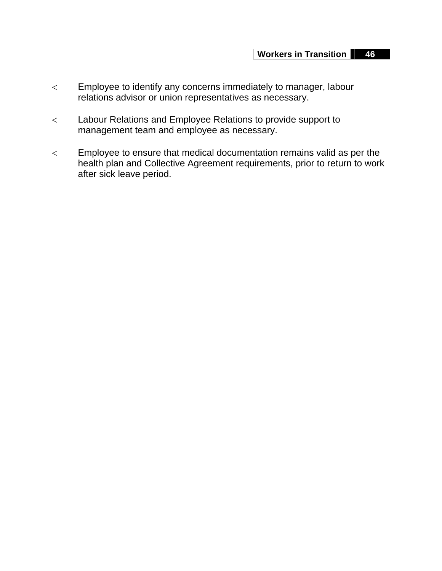- < Employee to identify any concerns immediately to manager, labour relations advisor or union representatives as necessary.
- < Labour Relations and Employee Relations to provide support to management team and employee as necessary.
- < Employee to ensure that medical documentation remains valid as per the health plan and Collective Agreement requirements, prior to return to work after sick leave period.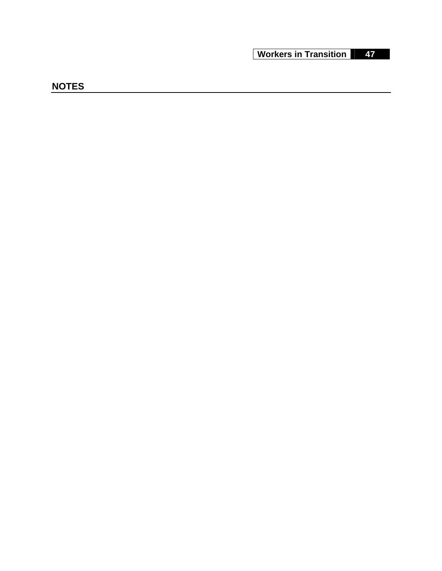## **NOTES**